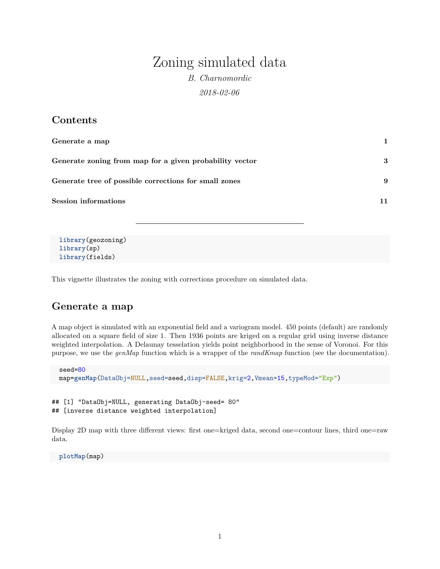# Zoning simulated data

*B. Charnomordic 2018-02-06*

### **Contents**

| Generate a map                                          | 1  |
|---------------------------------------------------------|----|
| Generate zoning from map for a given probability vector | 3  |
| Generate tree of possible corrections for small zones   | 9  |
| <b>Session informations</b>                             | 11 |

```
library(geozoning)
library(sp)
library(fields)
```
This vignette illustrates the zoning with corrections procedure on simulated data.

## <span id="page-0-0"></span>**Generate a map**

A map object is simulated with an exponential field and a variogram model. 450 points (default) are randomly allocated on a square field of size 1. Then 1936 points are kriged on a regular grid using inverse distance weighted interpolation. A Delaunay tesselation yields point neighborhood in the sense of Voronoi. For this purpose, we use the *genMap* function which is a wrapper of the *randKmap* function (see the documentation).

```
seed=80
map=genMap(DataObj=NULL,seed=seed,disp=FALSE,krig=2,Vmean=15,typeMod="Exp")
```

```
## [1] "DataObj=NULL, generating DataObj-seed= 80"
## [inverse distance weighted interpolation]
```
Display 2D map with three different views: first one=kriged data, second one=contour lines, third one=raw data.

**plotMap**(map)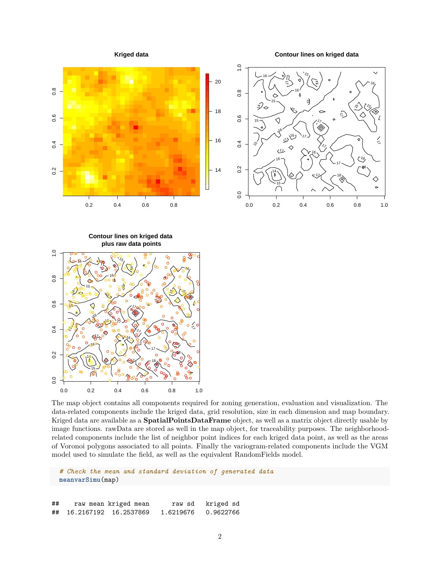

The map object contains all components required for zoning generation, evaluation and visualization. The data-related components include the kriged data, grid resolution, size in each dimension and map boundary. Kriged data are available as a **SpatialPointsDataFrame** object, as well as a matrix object directly usable by image functions. rawData are stored as well in the map object, for traceability purposes. The neighborhoodrelated components include the list of neighbor point indices for each kriged data point, as well as the areas of Voronoi polygons associated to all points. Finally the variogram-related components include the VGM model used to simulate the field, as well as the equivalent RandomFields model.

*# Check the mean and standard deviation of generated data* **meanvarSimu**(map)

## raw mean kriged mean raw sd kriged sd ## 16.2167192 16.2537869 1.6219676 0.9622766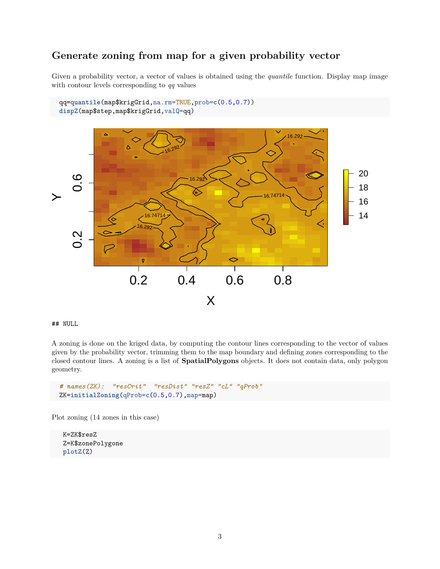### <span id="page-2-0"></span>**Generate zoning from map for a given probability vector**

Given a probability vector, a vector of values is obtained using the *quantile* function. Display map image with contour levels corresponding to *qq* values



#### ## NULL

A zoning is done on the kriged data, by computing the contour lines corresponding to the vector of values given by the probability vector, trimming them to the map boundary and defining zones corresponding to the closed contour lines. A zoning is a list of **SpatialPolygons** objects. It does not contain data, only polygon geometry.

```
# names(ZK): "resCrit" "resDist" "resZ" "cL" "qProb"
ZK=initialZoning(qProb=c(0.5,0.7),map=map)
```
Plot zoning (14 zones in this case)

K=ZK\$resZ Z=K\$zonePolygone **plotZ**(Z)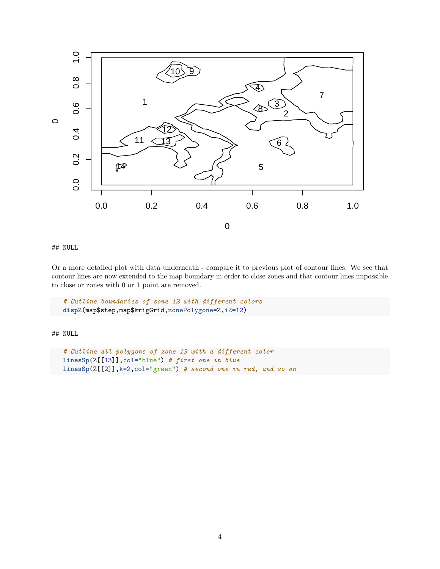

## NULL

Or a more detailed plot with data underneath - compare it to previous plot of contour lines. We see that contour lines are now extended to the map boundary in order to close zones and that contour lines impossible to close or zones with 0 or 1 point are removed.

```
# Outline boundaries of zone 12 with different colors
dispZ(map$step,map$krigGrid,zonePolygone=Z,iZ=12)
```
## NULL

```
# Outline all polygons of zone 13 with a different color
linesSp(Z[[13]],col="blue") # first one in blue
linesSp(Z[[2]],k=2,col="green") # second one in red, and so on
```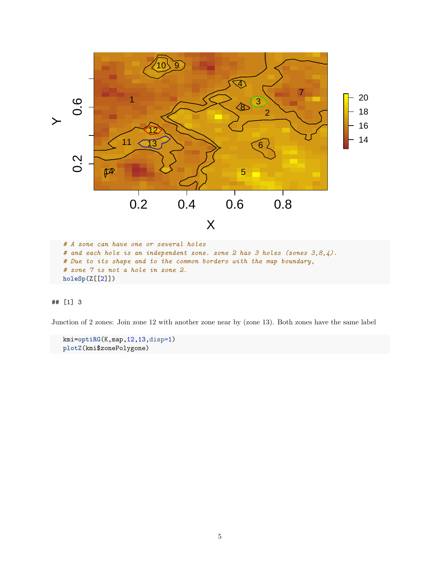

*# and each hole is an independent zone. zone 2 has 3 holes (zones 3,8,4). # Due to its shape and to the common borders with the map boundary, # zone 7 is not a hole in zone 2.* **holeSp**(Z[[2]])

#### ## [1] 3

Junction of 2 zones: Join zone 12 with another zone near by (zone 13). Both zones have the same label

kmi=**optiRG**(K,map,12,13,disp=1) **plotZ**(kmi\$zonePolygone)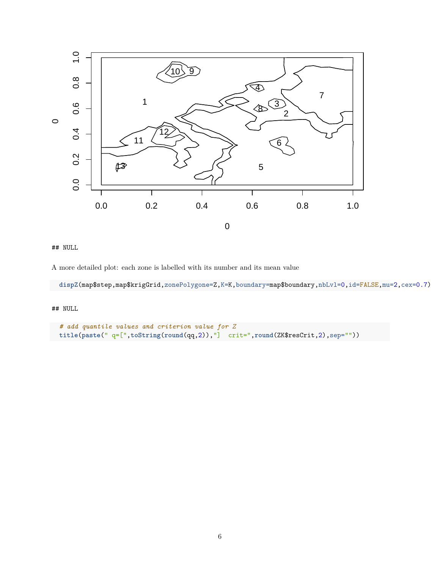

## NULL

A more detailed plot: each zone is labelled with its number and its mean value

dispZ(map\$step,map\$krigGrid,zonePolygone=Z,K=K,boundary=map\$boundary,nbLvl=0,id=FALSE,mu=2,cex=0.7)

## NULL

```
# add quantile values and criterion value for Z
title(paste(" q=[",toString(round(qq,2)),"] crit=",round(ZK$resCrit,2),sep=""))
```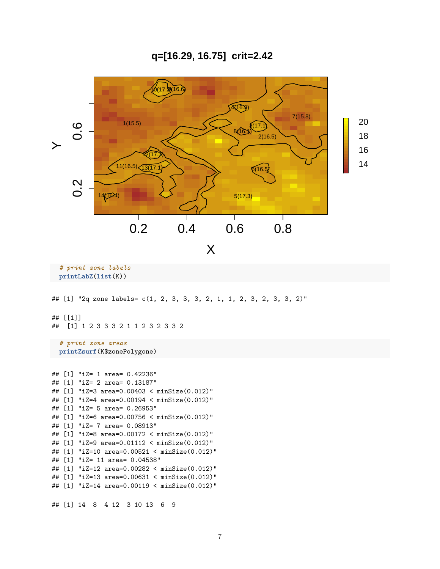**q=[16.29, 16.75] crit=2.42**



*# print zone labels* **printLabZ**(**list**(K))

## [1] "2q zone labels= c(1, 2, 3, 3, 3, 2, 1, 1, 2, 3, 2, 3, 3, 2)"

## [[1]]

## [1] 1 2 3 3 3 2 1 1 2 3 2 3 3 2

*# print zone areas* **printZsurf**(K\$zonePolygone)

```
## [1] "iZ= 1 area= 0.42236"
## [1] "iZ= 2 area= 0.13187"
## [1] "iZ=3 area=0.00403 < minSize(0.012)"
## [1] "iZ=4 area=0.00194 < minSize(0.012)"
## [1] "iZ= 5 area= 0.26953"
## [1] "iZ=6 area=0.00756 < minSize(0.012)"
## [1] "iZ= 7 area= 0.08913"
## [1] "iZ=8 area=0.00172 < minSize(0.012)"
## [1] "iZ=9 area=0.01112 < minSize(0.012)"
## [1] "iZ=10 area=0.00521 < minSize(0.012)"
## [1] "iZ= 11 area= 0.04538"
## [1] "iZ=12 area=0.00282 < minSize(0.012)"
## [1] "iZ=13 area=0.00631 < minSize(0.012)"
## [1] "iZ=14 area=0.00119 < minSize(0.012)"
## [1] 14 8 4 12 3 10 13 6 9
```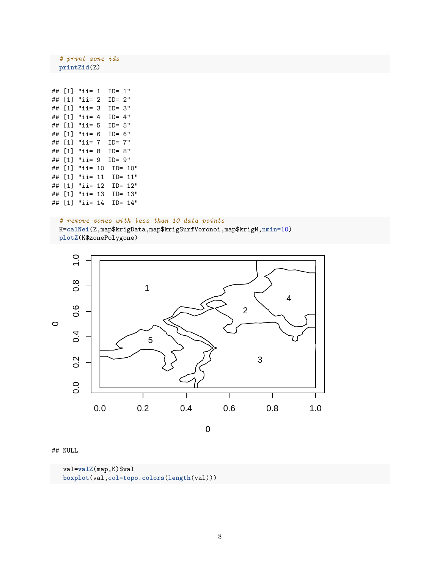*# print zone ids* **printZid**(Z)

| ## | [1] | "ii= 1  |    | $ID = 1"$     |
|----|-----|---------|----|---------------|
| ## | [1] | "ii= 2  |    | $ID = 2"$     |
| ## | [1] | "ii= 3  |    | $ID = 3"$     |
| ## | [1] | "ii= 4  |    | $ID = 4"$     |
| ## | [1] | "ii= 5  |    | $ID = 5"$     |
| ## | [1] | "ii=    | 6  | $ID =$<br>6"  |
| ## | [1] | "ii= 7  |    | $ID = 7"$     |
| ## | [1] | "ii= 8  |    | $ID = 8"$     |
| ## | [1] | "ii= 9  |    | $ID = 9"$     |
| ## | [1] | "ii= 10 |    | $ID = 10"$    |
| ## | [1] | "ii=    | 11 | 11"<br>$TD =$ |
| ## | [1] | "ii=    | 12 | $ID = 12"$    |
| ## | [1] | "ii=    | 13 | 13"<br>$TD =$ |
| ## | [1] | "ii=    | 14 | $TD =$<br>14" |

#### *# remove zones with less than 10 data points*

K=**calNei**(Z,map\$krigData,map\$krigSurfVoronoi,map\$krigN,nmin=10) **plotZ**(K\$zonePolygone)



#### ## NULL

val=**valZ**(map,K)\$val **boxplot**(val,col=**topo.colors**(**length**(val)))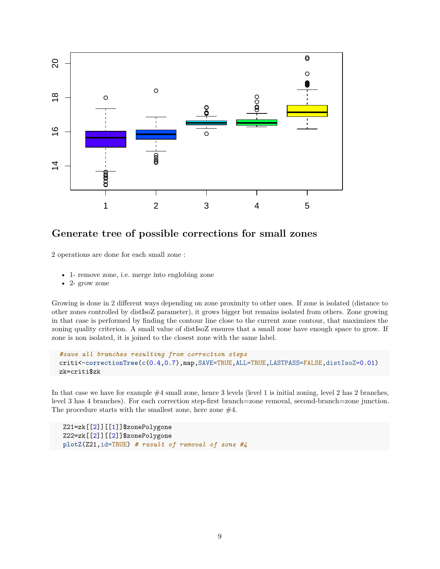

### <span id="page-8-0"></span>**Generate tree of possible corrections for small zones**

2 operations are done for each small zone :

- 1- remove zone, i.e. merge into englobing zone
- 2- grow zone

Growing is done in 2 different ways depending on zone proximity to other ones. If zone is isolated (distance to other zones controlled by distIsoZ parameter), it grows bigger but remains isolated from others. Zone growing in that case is performed by finding the contour line close to the current zone contour, that maximizes the zoning quality criterion. A small value of distIsoZ ensures that a small zone have enough space to grow. If zone is non isolated, it is joined to the closest zone with the same label.

```
#save all branches resulting from correction steps
criti<-correctionTree(c(0.4,0.7),map,SAVE=TRUE,ALL=TRUE,LASTPASS=FALSE,distIsoZ=0.01)
zk=criti$zk
```
In that case we have for example  $#4$  small zone, hence 3 levels (level 1 is initial zoning, level 2 has 2 branches, level 3 has 4 branches). For each correction step-first branch=zone removal, second-branch=zone junction. The procedure starts with the smallest zone, here zone  $#4$ .

```
Z21=zk[[2]][[1]]$zonePolygone
Z22=zk[[2]][[2]]$zonePolygone
plotZ(Z21,id=TRUE) # result of removal of zone #4
```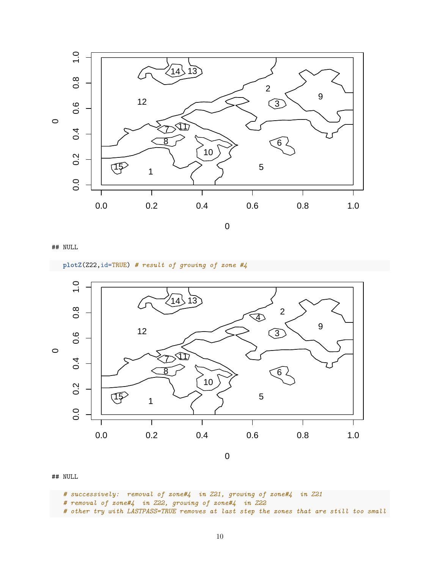

## NULL

**plotZ**(Z22,id=TRUE) *# result of growing of zone #4*



## NULL

*# successively: removal of zone#4 in Z21, growing of zone#4 in Z21*

*# removal of zone#4 in Z22, growing of zone#4 in Z22*

*# other try with LASTPASS=TRUE removes at last step the zones that are still too small*